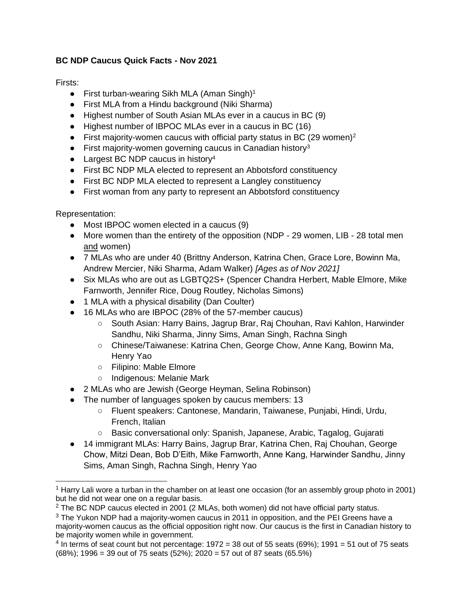## **BC NDP Caucus Quick Facts - Nov 2021**

Firsts:

- **•** First turban-wearing Sikh MLA (Aman Singh)<sup>1</sup>
- First MLA from a Hindu background (Niki Sharma)
- Highest number of South Asian MLAs ever in a caucus in BC (9)
- Highest number of IBPOC MLAs ever in a caucus in BC (16)
- First majority-women caucus with official party status in BC (29 women)<sup>2</sup>
- **•** First majority-women governing caucus in Canadian history<sup>3</sup>
- Largest BC NDP caucus in history<sup>4</sup>
- First BC NDP MLA elected to represent an Abbotsford constituency
- First BC NDP MLA elected to represent a Langley constituency
- First woman from any party to represent an Abbotsford constituency

Representation:

- Most IBPOC women elected in a caucus (9)
- More women than the entirety of the opposition (NDP 29 women, LIB 28 total men and women)
- 7 MLAs who are under 40 (Brittny Anderson, Katrina Chen, Grace Lore, Bowinn Ma, Andrew Mercier, Niki Sharma, Adam Walker) *[Ages as of Nov 2021]*
- Six MLAs who are out as LGBTQ2S+ (Spencer Chandra Herbert, Mable Elmore, Mike Farnworth, Jennifer Rice, Doug Routley, Nicholas Simons)
- 1 MLA with a physical disability (Dan Coulter)
- 16 MLAs who are IBPOC (28% of the 57-member caucus)
	- South Asian: Harry Bains, Jagrup Brar, Raj Chouhan, Ravi Kahlon, Harwinder Sandhu, Niki Sharma, Jinny Sims, Aman Singh, Rachna Singh
	- Chinese/Taiwanese: Katrina Chen, George Chow, Anne Kang, Bowinn Ma, Henry Yao
	- Filipino: Mable Elmore
	- Indigenous: Melanie Mark
- 2 MLAs who are Jewish (George Heyman, Selina Robinson)
- The number of languages spoken by caucus members: 13
	- Fluent speakers: Cantonese, Mandarin, Taiwanese, Punjabi, Hindi, Urdu, French, Italian
	- Basic conversational only: Spanish, Japanese, Arabic, Tagalog, Gujarati
- 14 immigrant MLAs: Harry Bains, Jagrup Brar, Katrina Chen, Raj Chouhan, George Chow, Mitzi Dean, Bob D'Eith, Mike Farnworth, Anne Kang, Harwinder Sandhu, Jinny Sims, Aman Singh, Rachna Singh, Henry Yao

<sup>1</sup> Harry Lali wore a turban in the chamber on at least one occasion (for an assembly group photo in 2001) but he did not wear one on a regular basis.

 $2$  The BC NDP caucus elected in 2001 (2 MLAs, both women) did not have official party status.

 $3$  The Yukon NDP had a majority-women caucus in 2011 in opposition, and the PEI Greens have a majority-women caucus as the official opposition right now. Our caucus is the first in Canadian history to be majority women while in government.

 $4$  In terms of seat count but not percentage: 1972 = 38 out of 55 seats (69%); 1991 = 51 out of 75 seats (68%); 1996 = 39 out of 75 seats (52%); 2020 = 57 out of 87 seats (65.5%)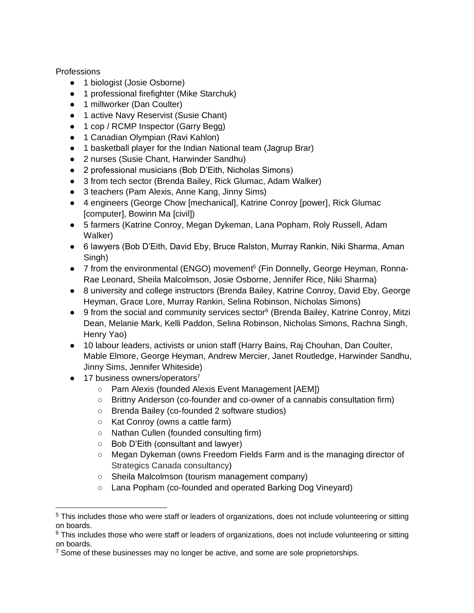**Professions** 

- 1 biologist (Josie Osborne)
- 1 professional firefighter (Mike Starchuk)
- 1 millworker (Dan Coulter)
- 1 active Navy Reservist (Susie Chant)
- 1 cop / RCMP Inspector (Garry Begg)
- 1 Canadian Olympian (Ravi Kahlon)
- 1 basketball player for the Indian National team (Jagrup Brar)
- 2 nurses (Susie Chant, Harwinder Sandhu)
- 2 professional musicians (Bob D'Eith, Nicholas Simons)
- 3 from tech sector (Brenda Bailey, Rick Glumac, Adam Walker)
- 3 teachers (Pam Alexis, Anne Kang, Jinny Sims)
- 4 engineers (George Chow [mechanical], Katrine Conroy [power], Rick Glumac [computer], Bowinn Ma [civil])
- 5 farmers (Katrine Conroy, Megan Dykeman, Lana Popham, Roly Russell, Adam Walker)
- 6 lawyers (Bob D'Eith, David Eby, Bruce Ralston, Murray Rankin, Niki Sharma, Aman Singh)
- 7 from the environmental (ENGO) movement<sup>5</sup> (Fin Donnelly, George Heyman, Ronna-Rae Leonard, Sheila Malcolmson, Josie Osborne, Jennifer Rice, Niki Sharma)
- 8 university and college instructors (Brenda Bailey, Katrine Conroy, David Eby, George Heyman, Grace Lore, Murray Rankin, Selina Robinson, Nicholas Simons)
- 9 from the social and community services sector<sup>6</sup> (Brenda Bailey, Katrine Conroy, Mitzi Dean, Melanie Mark, Kelli Paddon, Selina Robinson, Nicholas Simons, Rachna Singh, Henry Yao)
- 10 labour leaders, activists or union staff (Harry Bains, Raj Chouhan, Dan Coulter, Mable Elmore, George Heyman, Andrew Mercier, Janet Routledge, Harwinder Sandhu, Jinny Sims, Jennifer Whiteside)
- 17 business owners/operators<sup>7</sup>
	- Pam Alexis (founded Alexis Event Management [AEM])
	- Brittny Anderson (co-founder and co-owner of a cannabis consultation firm)
	- Brenda Bailey (co-founded 2 software studios)
	- Kat Conroy (owns a cattle farm)
	- Nathan Cullen (founded consulting firm)
	- Bob D'Eith (consultant and lawyer)
	- Megan Dykeman (owns Freedom Fields Farm and is the managing director of Strategics Canada consultancy)
	- Sheila Malcolmson (tourism management company)
	- Lana Popham (co-founded and operated Barking Dog Vineyard)

<sup>&</sup>lt;sup>5</sup> This includes those who were staff or leaders of organizations, does not include volunteering or sitting on boards.

<sup>&</sup>lt;sup>6</sup> This includes those who were staff or leaders of organizations, does not include volunteering or sitting on boards.

 $7$  Some of these businesses may no longer be active, and some are sole proprietorships.